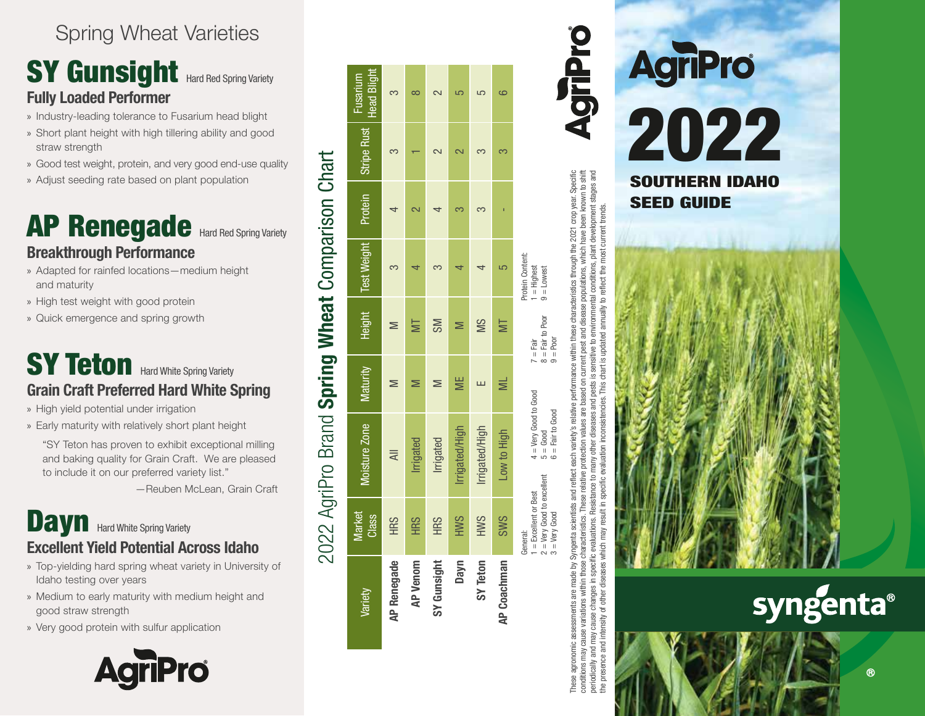## Spring Wheat Varieties

## SY Gunsight Hard Red Spring Variety **Fully Loaded Performer**

- » Industry-leading tolerance to Fusarium head blight
- » Short plant height with high tillering ability and good straw strength
- » Good test weight, protein, and very good end-use quality
- » Adjust seeding rate based on plant population

## AP Renegade Hard Red Spring Variety **Breakthrough Performance**

- » Adapted for rainfed locations—medium height and maturity
- » High test weight with good protein
- » Quick emergence and spring growth

## **SY Teton** Hard White Spring Variety **Grain Craft Preferred Hard White Spring**

- » High yield potential under irrigation
- » Early maturity with relatively short plant height

"SY Teton has proven to exhibit exceptional milling and baking quality for Grain Craft. We are pleased to include it on our preferred variety list."

—Reuben McLean, Grain Craft

## **Dayn** Hard White Spring Variety **Excellent Yield Potential Across Idaho**

- » Top-yielding hard spring wheat variety in University of Idaho testing over years
- » Medium to early maturity with medium height and good straw strength
- » Very good protein with sulfur application



|                    |                                                                                         | 2022 AgriPro Brand Spring Wheat Comparison Chart                   |          |                                                              |                                                   |             |                         |
|--------------------|-----------------------------------------------------------------------------------------|--------------------------------------------------------------------|----------|--------------------------------------------------------------|---------------------------------------------------|-------------|-------------------------|
| Variety            | Vlarket<br><b>Class</b>                                                                 | Moisture Zone                                                      | Maturity | Height                                                       | Test Weight Protein                               | Stripe Rust | Head Blight<br>Fusarium |
| <b>AP Renegade</b> | <b>HRS</b>                                                                              | ₹                                                                  |          |                                                              |                                                   |             |                         |
| <b>AP Venom</b>    | <b>HRS</b>                                                                              | Irrigated                                                          |          |                                                              |                                                   |             |                         |
| SY Gunsight        | <b>HRS</b>                                                                              | Irrigated                                                          |          | <b>SM</b>                                                    |                                                   |             |                         |
| Dayn               | <b>HWS</b>                                                                              | Irrigated/High                                                     |          |                                                              |                                                   |             |                         |
| SY Teton           | <b>HWS</b>                                                                              | Irrigated/High                                                     |          | SM                                                           |                                                   |             |                         |
| <b>AP Coachman</b> | <b>SWS</b>                                                                              | Low to High                                                        |          | ≣                                                            |                                                   |             | C                       |
|                    | $2 = V$ ery Good to excellent<br>$1 =$ Excellent or Best<br>$3 =$ Very Good<br>General: | $4 = Very$ Good to Good<br>$6 = \text{Fair}$ to Good<br>$5 =$ Good |          | $8 = \text{Fair to Poor}$<br>$7 = \text{Fair}$<br>$9 =$ Poor | Protein Content:<br>$1 =$ Highest<br>$9 =$ Lowest |             |                         |

These agronomic assessments are made by Syngenta scientists and reflect each variety's relative performance within these characteristics through the 2021 crop year. Specific conditions may cause variations within those characteristics. These relative protection values are based on current pest and disease populations, which have been known to shift periodically and may cause changes in specific evaluations. Resistance to many other diseases and pests is sensitive to environmental conditions, plant development stages and hese characteristics through the 2021 crop year. Specific<br>and disease populations, which have been krown to shift<br>environmental conditions, plant development stages and<br>ed annually to reflect the most current trends. the presence and intensity of other diseases which may result in specific evaluation inconsistencies. This chart is updated annually to reflect the most current trends. performance within these undated on current pest chart ≌ and pests relative protection values are based relative diseases each variety's Resistance to many other and reflect result in Syngenta scientists variations within those characteristics. conditions may cause variations within those characteristics.<br>periodically and may cause changes in specific evaluations.<br>the presence and intensity of other diseases which may res ď ssments These agronomic

AgriPro





 $\circledR$